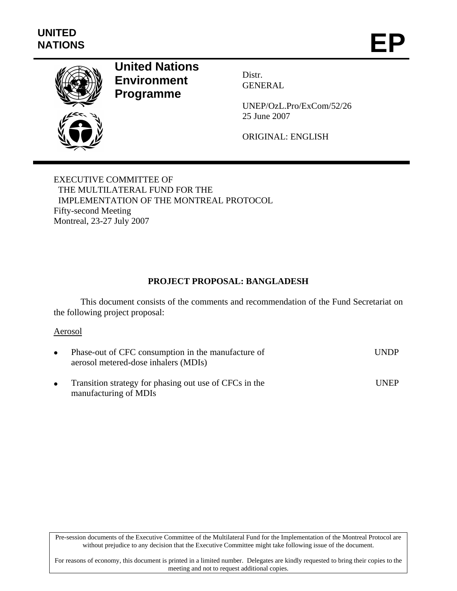

# **United Nations Environment Programme**

Distr. GENERAL

UNEP/OzL.Pro/ExCom/52/26 25 June 2007

ORIGINAL: ENGLISH

EXECUTIVE COMMITTEE OF THE MULTILATERAL FUND FOR THE IMPLEMENTATION OF THE MONTREAL PROTOCOL Fifty-second Meeting Montreal, 23-27 July 2007

# **PROJECT PROPOSAL: BANGLADESH**

This document consists of the comments and recommendation of the Fund Secretariat on the following project proposal:

### Aerosol

| Phase-out of CFC consumption in the manufacture of<br>aerosol metered-dose inhalers (MDIs) | <b>UNDP</b>   |
|--------------------------------------------------------------------------------------------|---------------|
| Transition strategy for phasing out use of CFCs in the<br>manufacturing of MDIs            | <b>I</b> INEP |

Pre-session documents of the Executive Committee of the Multilateral Fund for the Implementation of the Montreal Protocol are without prejudice to any decision that the Executive Committee might take following issue of the document.

For reasons of economy, this document is printed in a limited number. Delegates are kindly requested to bring their copies to the meeting and not to request additional copies.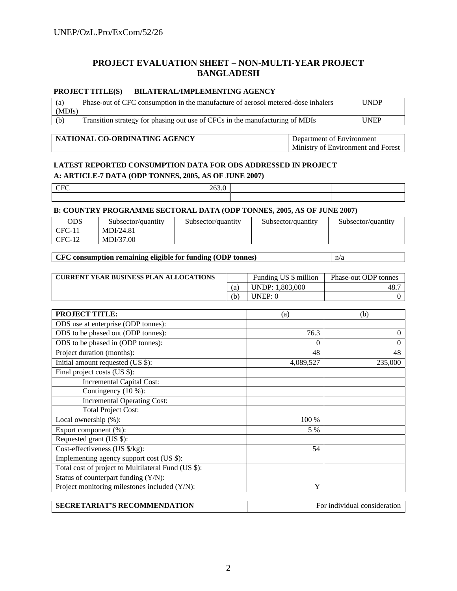# **PROJECT EVALUATION SHEET – NON-MULTI-YEAR PROJECT BANGLADESH**

#### **PROJECT TITLE(S) BILATERAL/IMPLEMENTING AGENCY**

| (a)    | Phase-out of CFC consumption in the manufacture of aerosol metered-dose inhalers | <b>UNDP</b> |
|--------|----------------------------------------------------------------------------------|-------------|
| (MDIs) |                                                                                  |             |
| (b)    | Transition strategy for phasing out use of CFCs in the manufacturing of MDIs     | <b>UNEP</b> |

#### **NATIONAL CO-ORDINATING AGENCY** Department of Environment

Ministry of Environment and Forest

#### **LATEST REPORTED CONSUMPTION DATA FOR ODS ADDRESSED IN PROJECT**

#### **A: ARTICLE-7 DATA (ODP TONNES, 2005, AS OF JUNE 2007)**

| ____ |  |  |
|------|--|--|
|      |  |  |

#### **B: COUNTRY PROGRAMME SECTORAL DATA (ODP TONNES, 2005, AS OF JUNE 2007)**

| ODS             | Subsector/quantity | Subsector/quantity | Subsector/quantity | Subsector/quantity |
|-----------------|--------------------|--------------------|--------------------|--------------------|
| $CFC-11$        | MDI/24.81          |                    |                    |                    |
| $CFC-1$<br>V-12 | MDI/37.00          |                    |                    |                    |

#### **CFC consumption remaining eligible for funding (ODP tonnes)**  $n/a$

| <b>CURRENT YEAR BUSINESS PLAN ALLOCATIONS</b> |     | Funding US \$ million  | Phase-out ODP tonnes |
|-----------------------------------------------|-----|------------------------|----------------------|
|                                               |     | <b>UNDP: 1.803.000</b> | 48.                  |
|                                               | (b, | UNEP:                  |                      |

| <b>PROJECT TITLE:</b>                               | (a)       | (b)      |
|-----------------------------------------------------|-----------|----------|
| ODS use at enterprise (ODP tonnes):                 |           |          |
| ODS to be phased out (ODP tonnes):                  | 76.3      | $\Omega$ |
| ODS to be phased in (ODP tonnes):                   | $\Omega$  | 0        |
| Project duration (months):                          | 48        | 48       |
| Initial amount requested (US \$):                   | 4,089,527 | 235,000  |
| Final project costs (US \$):                        |           |          |
| <b>Incremental Capital Cost:</b>                    |           |          |
| Contingency (10 %):                                 |           |          |
| <b>Incremental Operating Cost:</b>                  |           |          |
| <b>Total Project Cost:</b>                          |           |          |
| Local ownership (%):                                | 100 %     |          |
| Export component (%):                               | 5 %       |          |
| Requested grant (US \$):                            |           |          |
| Cost-effectiveness (US \$/kg):                      | 54        |          |
| Implementing agency support cost (US \$):           |           |          |
| Total cost of project to Multilateral Fund (US \$): |           |          |
| Status of counterpart funding (Y/N):                |           |          |
| Project monitoring milestones included (Y/N):       | Y         |          |
|                                                     |           |          |

| <b>SECRETARIAT'S RECOMMENDATION</b> | For individual consideration |
|-------------------------------------|------------------------------|
|-------------------------------------|------------------------------|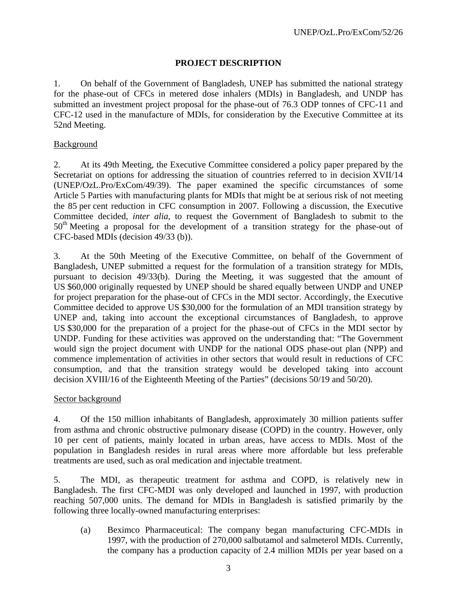# **PROJECT DESCRIPTION**

1. On behalf of the Government of Bangladesh, UNEP has submitted the national strategy for the phase-out of CFCs in metered dose inhalers (MDIs) in Bangladesh, and UNDP has submitted an investment project proposal for the phase-out of 76.3 ODP tonnes of CFC-11 and CFC-12 used in the manufacture of MDIs, for consideration by the Executive Committee at its 52nd Meeting.

## Background

2. At its 49th Meeting, the Executive Committee considered a policy paper prepared by the Secretariat on options for addressing the situation of countries referred to in decision XVII/14 (UNEP/OzL.Pro/ExCom/49/39). The paper examined the specific circumstances of some Article 5 Parties with manufacturing plants for MDIs that might be at serious risk of not meeting the 85 per cent reduction in CFC consumption in 2007. Following a discussion, the Executive Committee decided, *inter alia*, to request the Government of Bangladesh to submit to the  $50<sup>th</sup>$  Meeting a proposal for the development of a transition strategy for the phase-out of CFC-based MDIs (decision 49/33 (b)).

3. At the 50th Meeting of the Executive Committee, on behalf of the Government of Bangladesh, UNEP submitted a request for the formulation of a transition strategy for MDIs, pursuant to decision 49/33(b). During the Meeting, it was suggested that the amount of US \$60,000 originally requested by UNEP should be shared equally between UNDP and UNEP for project preparation for the phase-out of CFCs in the MDI sector. Accordingly, the Executive Committee decided to approve US \$30,000 for the formulation of an MDI transition strategy by UNEP and, taking into account the exceptional circumstances of Bangladesh, to approve US \$30,000 for the preparation of a project for the phase-out of CFCs in the MDI sector by UNDP. Funding for these activities was approved on the understanding that: "The Government would sign the project document with UNDP for the national ODS phase-out plan (NPP) and commence implementation of activities in other sectors that would result in reductions of CFC consumption, and that the transition strategy would be developed taking into account decision XVIII/16 of the Eighteenth Meeting of the Parties" (decisions 50/19 and 50/20).

### Sector background

4. Of the 150 million inhabitants of Bangladesh, approximately 30 million patients suffer from asthma and chronic obstructive pulmonary disease (COPD) in the country. However, only 10 per cent of patients, mainly located in urban areas, have access to MDIs. Most of the population in Bangladesh resides in rural areas where more affordable but less preferable treatments are used, such as oral medication and injectable treatment.

5. The MDI, as therapeutic treatment for asthma and COPD, is relatively new in Bangladesh. The first CFC-MDI was only developed and launched in 1997, with production reaching 507,000 units. The demand for MDIs in Bangladesh is satisfied primarily by the following three locally-owned manufacturing enterprises:

(a) Beximco Pharmaceutical: The company began manufacturing CFC-MDIs in 1997, with the production of 270,000 salbutamol and salmeterol MDIs. Currently, the company has a production capacity of 2.4 million MDIs per year based on a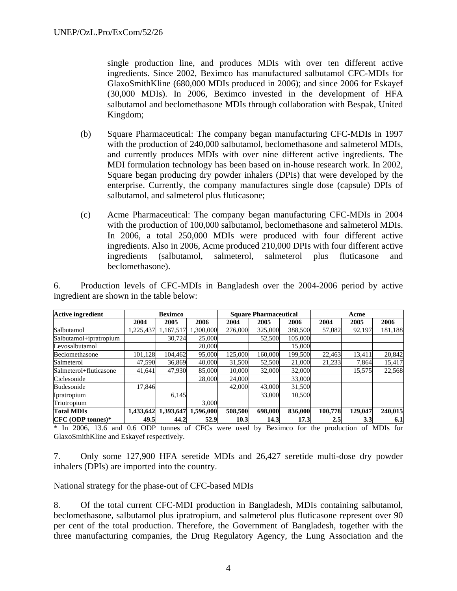single production line, and produces MDIs with over ten different active ingredients. Since 2002, Beximco has manufactured salbutamol CFC-MDIs for GlaxoSmithKline (680,000 MDIs produced in 2006); and since 2006 for Eskayef (30,000 MDIs). In 2006, Beximco invested in the development of HFA salbutamol and beclomethasone MDIs through collaboration with Bespak, United Kingdom;

- (b) Square Pharmaceutical: The company began manufacturing CFC-MDIs in 1997 with the production of 240,000 salbutamol, beclomethasone and salmeterol MDIs, and currently produces MDIs with over nine different active ingredients. The MDI formulation technology has been based on in-house research work. In 2002, Square began producing dry powder inhalers (DPIs) that were developed by the enterprise. Currently, the company manufactures single dose (capsule) DPIs of salbutamol, and salmeterol plus fluticasone;
- (c) Acme Pharmaceutical: The company began manufacturing CFC-MDIs in 2004 with the production of 100,000 salbutamol, beclomethasone and salmeterol MDIs. In 2006, a total 250,000 MDIs were produced with four different active ingredients. Also in 2006, Acme produced 210,000 DPIs with four different active ingredients (salbutamol, salmeterol, salmeterol plus fluticasone and beclomethasone).

| <b>Active ingredient</b> | <b>Beximco</b> |           |           | <b>Square Pharmaceutical</b> |         |         | Acme    |         |         |
|--------------------------|----------------|-----------|-----------|------------------------------|---------|---------|---------|---------|---------|
|                          | 2004           | 2005      | 2006      | 2004                         | 2005    | 2006    | 2004    | 2005    | 2006    |
| Salbutamol               | ,225,437       | 1,167,517 | ,300,000  | 276,000                      | 325,000 | 388,500 | 57,082  | 92,197  | 181,188 |
| Salbutamol+ipratropium   |                | 30.724    | 25,000    |                              | 52,500  | 105,000 |         |         |         |
| Levosalbutamol           |                |           | 20,000    |                              |         | 15,000  |         |         |         |
| Beclomethasone           | 101,128        | 104,462   | 95,000    | 125,000                      | 160,000 | 199,500 | 22,463  | 13,411  | 20,842  |
| Salmeterol               | 47,590         | 36,869    | 40,000    | 31,500                       | 52,500  | 21,000  | 21,233  | 7,864   | 15,417  |
| Salmeterol+fluticasone   | 41.641         | 47,930    | 85,000    | 10,000                       | 32,000  | 32,000  |         | 15,575  | 22,568  |
| Ciclesonide              |                |           | 28,000    | 24,000                       |         | 33,000  |         |         |         |
| Budesonide               | 17.846         |           |           | 42,000                       | 43,000  | 31,500  |         |         |         |
| Ipratropium              |                | 6.145     |           |                              | 33,000  | 10,500  |         |         |         |
| Triotropium              |                |           | 3.000     |                              |         |         |         |         |         |
| <b>Total MDIs</b>        | 1,433,642      | 1,393,647 | 1,596,000 | 508,500                      | 698,000 | 836,000 | 100.778 | 129,047 | 240,015 |
| $CFC (ODP tonnes)*$      | 49.5           | 44.2      | 52.9      | 10.3                         | 14.3    | 17.3    | 2.5     | 3.3     | 6.1     |

6. Production levels of CFC-MDIs in Bangladesh over the 2004-2006 period by active ingredient are shown in the table below:

\* In 2006, 13.6 and 0.6 ODP tonnes of CFCs were used by Beximco for the production of MDIs for GlaxoSmithKline and Eskayef respectively.

7. Only some 127,900 HFA seretide MDIs and 26,427 seretide multi-dose dry powder inhalers (DPIs) are imported into the country.

#### National strategy for the phase-out of CFC-based MDIs

8. Of the total current CFC-MDI production in Bangladesh, MDIs containing salbutamol, beclomethasone, salbutamol plus ipratropium, and salmeterol plus fluticasone represent over 90 per cent of the total production. Therefore, the Government of Bangladesh, together with the three manufacturing companies, the Drug Regulatory Agency, the Lung Association and the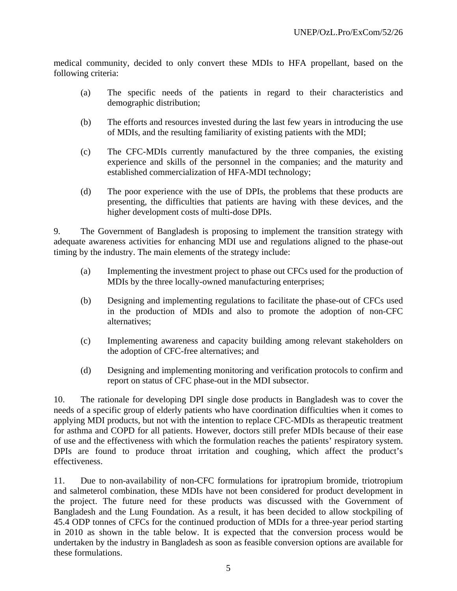medical community, decided to only convert these MDIs to HFA propellant, based on the following criteria:

- (a) The specific needs of the patients in regard to their characteristics and demographic distribution;
- (b) The efforts and resources invested during the last few years in introducing the use of MDIs, and the resulting familiarity of existing patients with the MDI;
- (c) The CFC-MDIs currently manufactured by the three companies, the existing experience and skills of the personnel in the companies; and the maturity and established commercialization of HFA-MDI technology;
- (d) The poor experience with the use of DPIs, the problems that these products are presenting, the difficulties that patients are having with these devices, and the higher development costs of multi-dose DPIs.

9. The Government of Bangladesh is proposing to implement the transition strategy with adequate awareness activities for enhancing MDI use and regulations aligned to the phase-out timing by the industry. The main elements of the strategy include:

- (a) Implementing the investment project to phase out CFCs used for the production of MDIs by the three locally-owned manufacturing enterprises;
- (b) Designing and implementing regulations to facilitate the phase-out of CFCs used in the production of MDIs and also to promote the adoption of non-CFC alternatives;
- (c) Implementing awareness and capacity building among relevant stakeholders on the adoption of CFC-free alternatives; and
- (d) Designing and implementing monitoring and verification protocols to confirm and report on status of CFC phase-out in the MDI subsector.

10. The rationale for developing DPI single dose products in Bangladesh was to cover the needs of a specific group of elderly patients who have coordination difficulties when it comes to applying MDI products, but not with the intention to replace CFC-MDIs as therapeutic treatment for asthma and COPD for all patients. However, doctors still prefer MDIs because of their ease of use and the effectiveness with which the formulation reaches the patients' respiratory system. DPIs are found to produce throat irritation and coughing, which affect the product's effectiveness.

11. Due to non-availability of non-CFC formulations for ipratropium bromide, triotropium and salmeterol combination, these MDIs have not been considered for product development in the project. The future need for these products was discussed with the Government of Bangladesh and the Lung Foundation. As a result, it has been decided to allow stockpiling of 45.4 ODP tonnes of CFCs for the continued production of MDIs for a three-year period starting in 2010 as shown in the table below. It is expected that the conversion process would be undertaken by the industry in Bangladesh as soon as feasible conversion options are available for these formulations.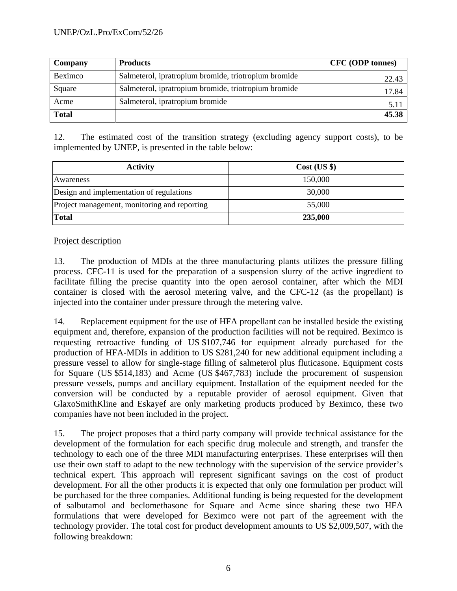| Company      | <b>Products</b>                                      | <b>CFC</b> (ODP tonnes) |
|--------------|------------------------------------------------------|-------------------------|
| Beximco      | Salmeterol, ipratropium bromide, triotropium bromide | 22.43                   |
| Square       | Salmeterol, ipratropium bromide, triotropium bromide | 17.84                   |
| Acme         | Salmeterol, ipratropium bromide                      | 5.11                    |
| <b>Total</b> |                                                      | 45.38                   |

12. The estimated cost of the transition strategy (excluding agency support costs), to be implemented by UNEP, is presented in the table below:

| <b>Activity</b>                              | Cost (US \$) |
|----------------------------------------------|--------------|
| Awareness                                    | 150,000      |
| Design and implementation of regulations     | 30,000       |
| Project management, monitoring and reporting | 55,000       |
| <b>Total</b>                                 | 235,000      |

# Project description

13. The production of MDIs at the three manufacturing plants utilizes the pressure filling process. CFC-11 is used for the preparation of a suspension slurry of the active ingredient to facilitate filling the precise quantity into the open aerosol container, after which the MDI container is closed with the aerosol metering valve, and the CFC-12 (as the propellant) is injected into the container under pressure through the metering valve.

14. Replacement equipment for the use of HFA propellant can be installed beside the existing equipment and, therefore, expansion of the production facilities will not be required. Beximco is requesting retroactive funding of US \$107,746 for equipment already purchased for the production of HFA-MDIs in addition to US \$281,240 for new additional equipment including a pressure vessel to allow for single-stage filling of salmeterol plus fluticasone. Equipment costs for Square (US \$514,183) and Acme (US \$467,783) include the procurement of suspension pressure vessels, pumps and ancillary equipment. Installation of the equipment needed for the conversion will be conducted by a reputable provider of aerosol equipment. Given that GlaxoSmithKline and Eskayef are only marketing products produced by Beximco, these two companies have not been included in the project.

15. The project proposes that a third party company will provide technical assistance for the development of the formulation for each specific drug molecule and strength, and transfer the technology to each one of the three MDI manufacturing enterprises. These enterprises will then use their own staff to adapt to the new technology with the supervision of the service provider's technical expert. This approach will represent significant savings on the cost of product development. For all the other products it is expected that only one formulation per product will be purchased for the three companies. Additional funding is being requested for the development of salbutamol and beclomethasone for Square and Acme since sharing these two HFA formulations that were developed for Beximco were not part of the agreement with the technology provider. The total cost for product development amounts to US \$2,009,507, with the following breakdown: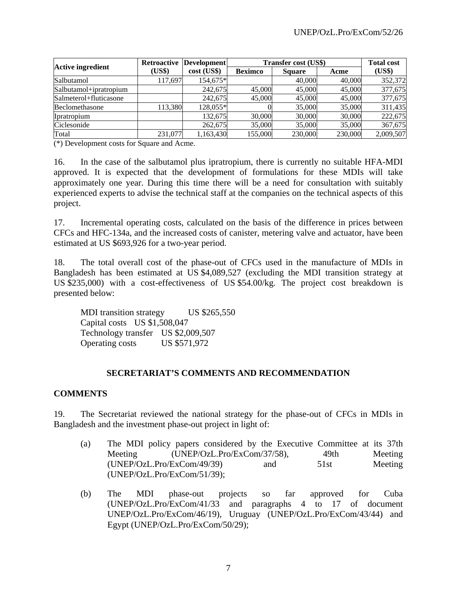|                          | <b>Retroactive</b> | Development | <b>Transfer cost (US\$)</b> | <b>Total cost</b> |         |           |
|--------------------------|--------------------|-------------|-----------------------------|-------------------|---------|-----------|
| <b>Active ingredient</b> | (US\$)             | cost (US\$) | <b>Beximco</b>              | <b>Square</b>     | Acme    | (US\$)    |
| Salbutamol               | 117,697            | 154,675*    |                             | 40,000            | 40,000  | 352,372   |
| Salbutamol+ipratropium   |                    | 242,675     | 45,000                      | 45,000            | 45,000  | 377,675   |
| Salmeterol+fluticasone   |                    | 242,675     | 45,000                      | 45,000            | 45,000  | 377,675   |
| Beclomethasone           | 113,380            | 128,055*    |                             | 35,000            | 35,000  | 311,435   |
| Ipratropium              |                    | 132,675     | 30,000                      | 30,000            | 30,000  | 222,675   |
| Ciclesonide              |                    | 262,675     | 35,000                      | 35,000            | 35,000  | 367,675   |
| Total                    | 231,077            | 1,163,430   | 155,000                     | 230,000           | 230,000 | 2,009,507 |

(\*) Development costs for Square and Acme.

16. In the case of the salbutamol plus ipratropium, there is currently no suitable HFA-MDI approved. It is expected that the development of formulations for these MDIs will take approximately one year. During this time there will be a need for consultation with suitably experienced experts to advise the technical staff at the companies on the technical aspects of this project.

17. Incremental operating costs, calculated on the basis of the difference in prices between CFCs and HFC-134a, and the increased costs of canister, metering valve and actuator, have been estimated at US \$693,926 for a two-year period.

18. The total overall cost of the phase-out of CFCs used in the manufacture of MDIs in Bangladesh has been estimated at US \$4,089,527 (excluding the MDI transition strategy at US \$235,000) with a cost-effectiveness of US \$54.00/kg. The project cost breakdown is presented below:

MDI transition strategy US \$265,550 Capital costs US \$1,508,047 Technology transfer US \$2,009,507 Operating costs US \$571,972

# **SECRETARIAT'S COMMENTS AND RECOMMENDATION**

### **COMMENTS**

19. The Secretariat reviewed the national strategy for the phase-out of CFCs in MDIs in Bangladesh and the investment phase-out project in light of:

- (a) The MDI policy papers considered by the Executive Committee at its 37th Meeting (UNEP/OzL.Pro/ExCom/37/58), 49th Meeting (UNEP/OzL.Pro/ExCom/49/39) and 51st Meeting (UNEP/OzL.Pro/ExCom/51/39);
- (b) The MDI phase-out projects so far approved for Cuba (UNEP/OzL.Pro/ExCom/41/33 and paragraphs 4 to 17 of document UNEP/OzL.Pro/ExCom/46/19), Uruguay (UNEP/OzL.Pro/ExCom/43/44) and Egypt (UNEP/OzL.Pro/ExCom/50/29);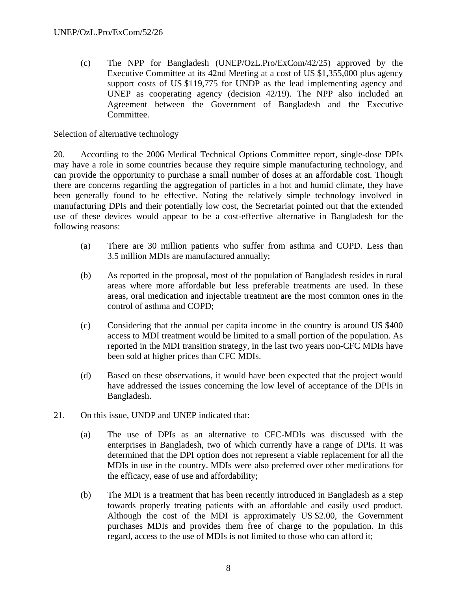(c) The NPP for Bangladesh (UNEP/OzL.Pro/ExCom/42/25) approved by the Executive Committee at its 42nd Meeting at a cost of US \$1,355,000 plus agency support costs of US \$119,775 for UNDP as the lead implementing agency and UNEP as cooperating agency (decision 42/19). The NPP also included an Agreement between the Government of Bangladesh and the Executive Committee.

# Selection of alternative technology

20. According to the 2006 Medical Technical Options Committee report, single-dose DPIs may have a role in some countries because they require simple manufacturing technology, and can provide the opportunity to purchase a small number of doses at an affordable cost. Though there are concerns regarding the aggregation of particles in a hot and humid climate, they have been generally found to be effective. Noting the relatively simple technology involved in manufacturing DPIs and their potentially low cost, the Secretariat pointed out that the extended use of these devices would appear to be a cost-effective alternative in Bangladesh for the following reasons:

- (a) There are 30 million patients who suffer from asthma and COPD. Less than 3.5 million MDIs are manufactured annually;
- (b) As reported in the proposal, most of the population of Bangladesh resides in rural areas where more affordable but less preferable treatments are used. In these areas, oral medication and injectable treatment are the most common ones in the control of asthma and COPD;
- (c) Considering that the annual per capita income in the country is around US \$400 access to MDI treatment would be limited to a small portion of the population. As reported in the MDI transition strategy, in the last two years non-CFC MDIs have been sold at higher prices than CFC MDIs.
- (d) Based on these observations, it would have been expected that the project would have addressed the issues concerning the low level of acceptance of the DPIs in Bangladesh.
- 21. On this issue, UNDP and UNEP indicated that:
	- (a) The use of DPIs as an alternative to CFC-MDIs was discussed with the enterprises in Bangladesh, two of which currently have a range of DPIs. It was determined that the DPI option does not represent a viable replacement for all the MDIs in use in the country. MDIs were also preferred over other medications for the efficacy, ease of use and affordability;
	- (b) The MDI is a treatment that has been recently introduced in Bangladesh as a step towards properly treating patients with an affordable and easily used product. Although the cost of the MDI is approximately US \$2.00, the Government purchases MDIs and provides them free of charge to the population. In this regard, access to the use of MDIs is not limited to those who can afford it;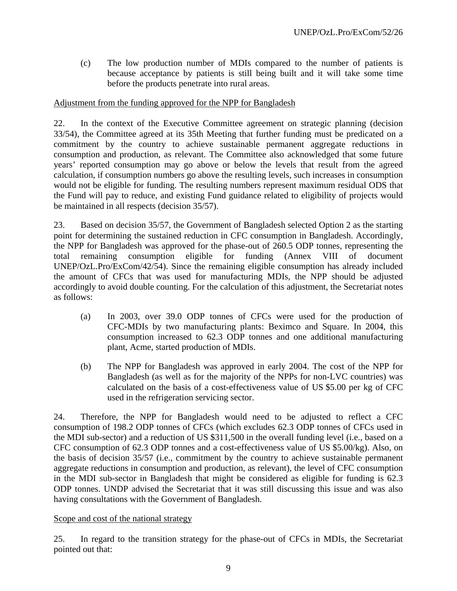(c) The low production number of MDIs compared to the number of patients is because acceptance by patients is still being built and it will take some time before the products penetrate into rural areas.

### Adjustment from the funding approved for the NPP for Bangladesh

22. In the context of the Executive Committee agreement on strategic planning (decision 33/54), the Committee agreed at its 35th Meeting that further funding must be predicated on a commitment by the country to achieve sustainable permanent aggregate reductions in consumption and production, as relevant. The Committee also acknowledged that some future years' reported consumption may go above or below the levels that result from the agreed calculation, if consumption numbers go above the resulting levels, such increases in consumption would not be eligible for funding. The resulting numbers represent maximum residual ODS that the Fund will pay to reduce, and existing Fund guidance related to eligibility of projects would be maintained in all respects (decision 35/57).

23. Based on decision 35/57, the Government of Bangladesh selected Option 2 as the starting point for determining the sustained reduction in CFC consumption in Bangladesh. Accordingly, the NPP for Bangladesh was approved for the phase-out of 260.5 ODP tonnes, representing the total remaining consumption eligible for funding (Annex VIII of document UNEP/OzL.Pro/ExCom/42/54). Since the remaining eligible consumption has already included the amount of CFCs that was used for manufacturing MDIs, the NPP should be adjusted accordingly to avoid double counting. For the calculation of this adjustment, the Secretariat notes as follows:

- (a) In 2003, over 39.0 ODP tonnes of CFCs were used for the production of CFC-MDIs by two manufacturing plants: Beximco and Square. In 2004, this consumption increased to 62.3 ODP tonnes and one additional manufacturing plant, Acme, started production of MDIs.
- (b) The NPP for Bangladesh was approved in early 2004. The cost of the NPP for Bangladesh (as well as for the majority of the NPPs for non-LVC countries) was calculated on the basis of a cost-effectiveness value of US \$5.00 per kg of CFC used in the refrigeration servicing sector.

24. Therefore, the NPP for Bangladesh would need to be adjusted to reflect a CFC consumption of 198.2 ODP tonnes of CFCs (which excludes 62.3 ODP tonnes of CFCs used in the MDI sub-sector) and a reduction of US \$311,500 in the overall funding level (i.e., based on a CFC consumption of 62.3 ODP tonnes and a cost-effectiveness value of US \$5.00/kg). Also, on the basis of decision 35/57 (i.e., commitment by the country to achieve sustainable permanent aggregate reductions in consumption and production, as relevant), the level of CFC consumption in the MDI sub-sector in Bangladesh that might be considered as eligible for funding is 62.3 ODP tonnes. UNDP advised the Secretariat that it was still discussing this issue and was also having consultations with the Government of Bangladesh.

### Scope and cost of the national strategy

25. In regard to the transition strategy for the phase-out of CFCs in MDIs, the Secretariat pointed out that: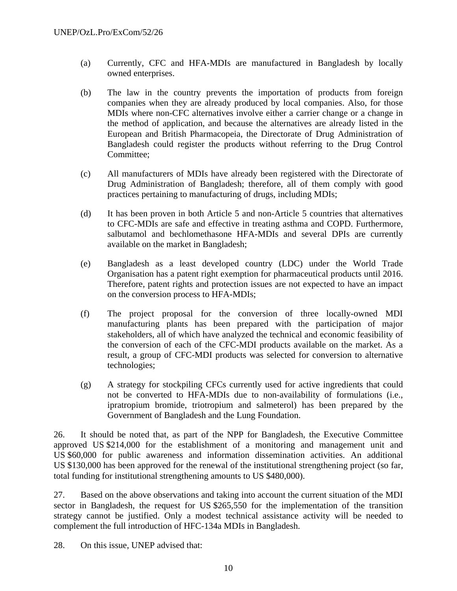- (a) Currently, CFC and HFA-MDIs are manufactured in Bangladesh by locally owned enterprises.
- (b) The law in the country prevents the importation of products from foreign companies when they are already produced by local companies. Also, for those MDIs where non-CFC alternatives involve either a carrier change or a change in the method of application, and because the alternatives are already listed in the European and British Pharmacopeia, the Directorate of Drug Administration of Bangladesh could register the products without referring to the Drug Control Committee;
- (c) All manufacturers of MDIs have already been registered with the Directorate of Drug Administration of Bangladesh; therefore, all of them comply with good practices pertaining to manufacturing of drugs, including MDIs;
- (d) It has been proven in both Article 5 and non-Article 5 countries that alternatives to CFC-MDIs are safe and effective in treating asthma and COPD. Furthermore, salbutamol and bechlomethasone HFA-MDIs and several DPIs are currently available on the market in Bangladesh;
- (e) Bangladesh as a least developed country (LDC) under the World Trade Organisation has a patent right exemption for pharmaceutical products until 2016. Therefore, patent rights and protection issues are not expected to have an impact on the conversion process to HFA-MDIs;
- (f) The project proposal for the conversion of three locally-owned MDI manufacturing plants has been prepared with the participation of major stakeholders, all of which have analyzed the technical and economic feasibility of the conversion of each of the CFC-MDI products available on the market. As a result, a group of CFC-MDI products was selected for conversion to alternative technologies;
- (g) A strategy for stockpiling CFCs currently used for active ingredients that could not be converted to HFA-MDIs due to non-availability of formulations (i.e., ipratropium bromide, triotropium and salmeterol) has been prepared by the Government of Bangladesh and the Lung Foundation.

26. It should be noted that, as part of the NPP for Bangladesh, the Executive Committee approved US \$214,000 for the establishment of a monitoring and management unit and US \$60,000 for public awareness and information dissemination activities. An additional US \$130,000 has been approved for the renewal of the institutional strengthening project (so far, total funding for institutional strengthening amounts to US \$480,000).

27. Based on the above observations and taking into account the current situation of the MDI sector in Bangladesh, the request for US \$265,550 for the implementation of the transition strategy cannot be justified. Only a modest technical assistance activity will be needed to complement the full introduction of HFC-134a MDIs in Bangladesh.

28. On this issue, UNEP advised that: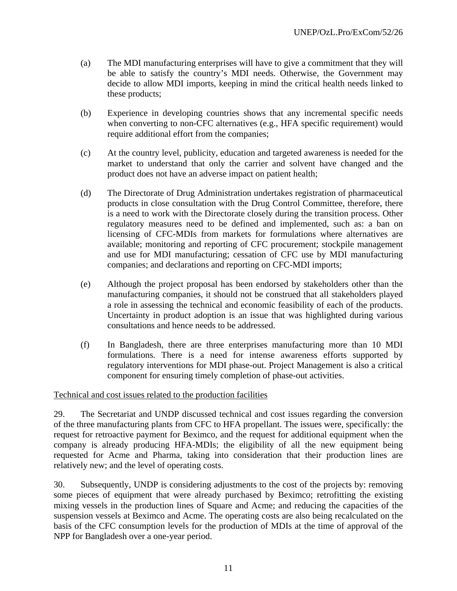- (a) The MDI manufacturing enterprises will have to give a commitment that they will be able to satisfy the country's MDI needs. Otherwise, the Government may decide to allow MDI imports, keeping in mind the critical health needs linked to these products;
- (b) Experience in developing countries shows that any incremental specific needs when converting to non-CFC alternatives (e.g., HFA specific requirement) would require additional effort from the companies;
- (c) At the country level, publicity, education and targeted awareness is needed for the market to understand that only the carrier and solvent have changed and the product does not have an adverse impact on patient health;
- (d) The Directorate of Drug Administration undertakes registration of pharmaceutical products in close consultation with the Drug Control Committee, therefore, there is a need to work with the Directorate closely during the transition process. Other regulatory measures need to be defined and implemented, such as: a ban on licensing of CFC-MDIs from markets for formulations where alternatives are available; monitoring and reporting of CFC procurement; stockpile management and use for MDI manufacturing; cessation of CFC use by MDI manufacturing companies; and declarations and reporting on CFC-MDI imports;
- (e) Although the project proposal has been endorsed by stakeholders other than the manufacturing companies, it should not be construed that all stakeholders played a role in assessing the technical and economic feasibility of each of the products. Uncertainty in product adoption is an issue that was highlighted during various consultations and hence needs to be addressed.
- (f) In Bangladesh, there are three enterprises manufacturing more than 10 MDI formulations. There is a need for intense awareness efforts supported by regulatory interventions for MDI phase-out. Project Management is also a critical component for ensuring timely completion of phase-out activities.

### Technical and cost issues related to the production facilities

29. The Secretariat and UNDP discussed technical and cost issues regarding the conversion of the three manufacturing plants from CFC to HFA propellant. The issues were, specifically: the request for retroactive payment for Beximco, and the request for additional equipment when the company is already producing HFA-MDIs; the eligibility of all the new equipment being requested for Acme and Pharma, taking into consideration that their production lines are relatively new; and the level of operating costs.

30. Subsequently, UNDP is considering adjustments to the cost of the projects by: removing some pieces of equipment that were already purchased by Beximco; retrofitting the existing mixing vessels in the production lines of Square and Acme; and reducing the capacities of the suspension vessels at Beximco and Acme. The operating costs are also being recalculated on the basis of the CFC consumption levels for the production of MDIs at the time of approval of the NPP for Bangladesh over a one-year period.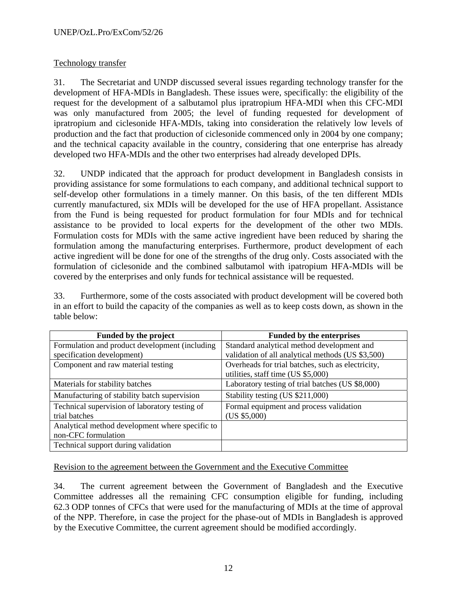# Technology transfer

31. The Secretariat and UNDP discussed several issues regarding technology transfer for the development of HFA-MDIs in Bangladesh. These issues were, specifically: the eligibility of the request for the development of a salbutamol plus ipratropium HFA-MDI when this CFC-MDI was only manufactured from 2005; the level of funding requested for development of ipratropium and ciclesonide HFA-MDIs, taking into consideration the relatively low levels of production and the fact that production of ciclesonide commenced only in 2004 by one company; and the technical capacity available in the country, considering that one enterprise has already developed two HFA-MDIs and the other two enterprises had already developed DPIs.

32. UNDP indicated that the approach for product development in Bangladesh consists in providing assistance for some formulations to each company, and additional technical support to self-develop other formulations in a timely manner. On this basis, of the ten different MDIs currently manufactured, six MDIs will be developed for the use of HFA propellant. Assistance from the Fund is being requested for product formulation for four MDIs and for technical assistance to be provided to local experts for the development of the other two MDIs. Formulation costs for MDIs with the same active ingredient have been reduced by sharing the formulation among the manufacturing enterprises. Furthermore, product development of each active ingredient will be done for one of the strengths of the drug only. Costs associated with the formulation of ciclesonide and the combined salbutamol with ipatropium HFA-MDIs will be covered by the enterprises and only funds for technical assistance will be requested.

33. Furthermore, some of the costs associated with product development will be covered both in an effort to build the capacity of the companies as well as to keep costs down, as shown in the table below:

| Funded by the project                           | <b>Funded by the enterprises</b>                  |
|-------------------------------------------------|---------------------------------------------------|
| Formulation and product development (including  | Standard analytical method development and        |
| specification development)                      | validation of all analytical methods (US \$3,500) |
| Component and raw material testing              | Overheads for trial batches, such as electricity, |
|                                                 | utilities, staff time (US \$5,000)                |
| Materials for stability batches                 | Laboratory testing of trial batches (US \$8,000)  |
| Manufacturing of stability batch supervision    | Stability testing (US \$211,000)                  |
| Technical supervision of laboratory testing of  | Formal equipment and process validation           |
| trial batches                                   | (US \$5,000)                                      |
| Analytical method development where specific to |                                                   |
| non-CFC formulation                             |                                                   |
| Technical support during validation             |                                                   |

Revision to the agreement between the Government and the Executive Committee

34. The current agreement between the Government of Bangladesh and the Executive Committee addresses all the remaining CFC consumption eligible for funding, including 62.3 ODP tonnes of CFCs that were used for the manufacturing of MDIs at the time of approval of the NPP. Therefore, in case the project for the phase-out of MDIs in Bangladesh is approved by the Executive Committee, the current agreement should be modified accordingly.